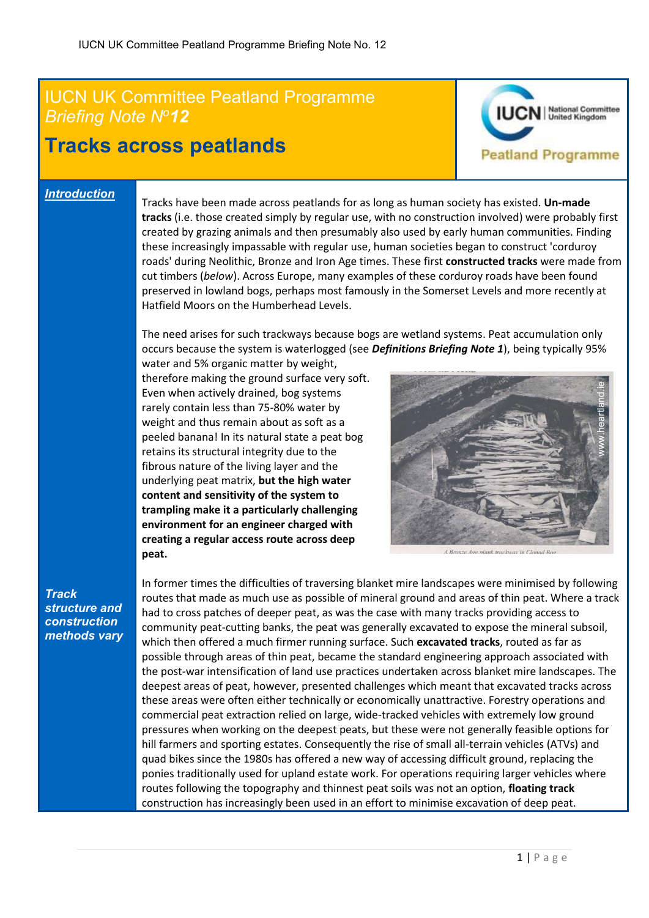## IUCN UK Committee Peatland Programme<br>Briefing Note N<sup>o</sup>12 *Briefing Note N<sup>o</sup>12*

## **Tracks across peatlands**



## *Introduction*

Tracks have been made across peatlands for as long as human society has existed. **Un-made tracks** (i.e. those created simply by regular use, with no construction involved) were probably first created by grazing animals and then presumably also used by early human communities. Finding these increasingly impassable with regular use, human societies began to construct 'corduroy roads' during Neolithic, Bronze and Iron Age times. These first **constructed tracks** were made from cut timbers (*below*). Across Europe, many examples of these corduroy roads have been found preserved in lowland bogs, perhaps most famously in the Somerset Levels and more recently at Hatfield Moors on the Humberhead Levels.

The need arises for such trackways because bogs are wetland systems. Peat accumulation only occurs because the system is waterlogged (see *Definitions Briefing Note 1*), being typically 95%

water and 5% organic matter by weight, therefore making the ground surface very soft. Even when actively drained, bog systems rarely contain less than 75-80% water by weight and thus remain about as soft as a peeled banana! In its natural state a peat bog retains its structural integrity due to the fibrous nature of the living layer and the underlying peat matrix, **but the high water content and sensitivity of the system to trampling make it a particularly challenging environment for an engineer charged with creating a regular access route across deep peat.**



*Track structure and construction methods vary* In former times the difficulties of traversing blanket mire landscapes were minimised by following routes that made as much use as possible of mineral ground and areas of thin peat. Where a track had to cross patches of deeper peat, as was the case with many tracks providing access to community peat-cutting banks, the peat was generally excavated to expose the mineral subsoil, which then offered a much firmer running surface. Such **excavated tracks**, routed as far as possible through areas of thin peat, became the standard engineering approach associated with the post-war intensification of land use practices undertaken across blanket mire landscapes. The deepest areas of peat, however, presented challenges which meant that excavated tracks across these areas were often either technically or economically unattractive. Forestry operations and commercial peat extraction relied on large, wide-tracked vehicles with extremely low ground pressures when working on the deepest peats, but these were not generally feasible options for hill farmers and sporting estates. Consequently the rise of small all-terrain vehicles (ATVs) and quad bikes since the 1980s has offered a new way of accessing difficult ground, replacing the ponies traditionally used for upland estate work. For operations requiring larger vehicles where routes following the topography and thinnest peat soils was not an option, **floating track** construction has increasingly been used in an effort to minimise excavation of deep peat.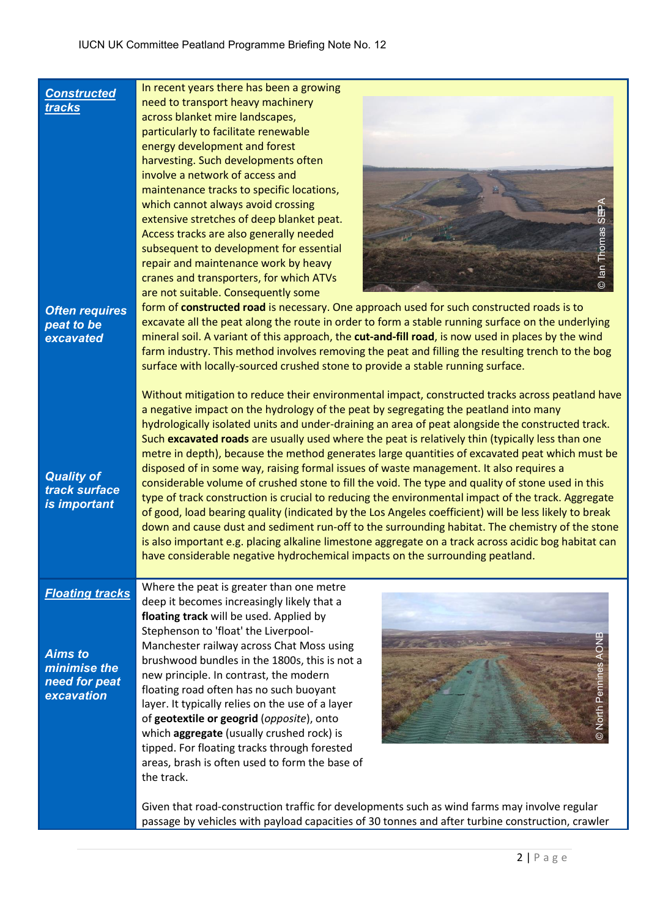| <b>Constructed</b><br>tracks<br><b>Often requires</b><br>peat to be<br>excavated<br><b>Quality of</b><br>track surface<br>is important | In recent years there has been a growing<br>need to transport heavy machinery<br>across blanket mire landscapes,<br>particularly to facilitate renewable<br>energy development and forest<br>harvesting. Such developments often<br>involve a network of access and<br>maintenance tracks to specific locations,<br>which cannot always avoid crossing<br>extensive stretches of deep blanket peat.<br>ဖ<br>© Ian Thomas<br>Access tracks are also generally needed<br>subsequent to development for essential<br>repair and maintenance work by heavy<br>cranes and transporters, for which ATVs<br>are not suitable. Consequently some<br>form of constructed road is necessary. One approach used for such constructed roads is to<br>excavate all the peat along the route in order to form a stable running surface on the underlying<br>mineral soil. A variant of this approach, the cut-and-fill road, is now used in places by the wind<br>farm industry. This method involves removing the peat and filling the resulting trench to the bog<br>surface with locally-sourced crushed stone to provide a stable running surface.<br>Without mitigation to reduce their environmental impact, constructed tracks across peatland have<br>a negative impact on the hydrology of the peat by segregating the peatland into many<br>hydrologically isolated units and under-draining an area of peat alongside the constructed track.<br>Such excavated roads are usually used where the peat is relatively thin (typically less than one<br>metre in depth), because the method generates large quantities of excavated peat which must be<br>disposed of in some way, raising formal issues of waste management. It also requires a<br>considerable volume of crushed stone to fill the void. The type and quality of stone used in this<br>type of track construction is crucial to reducing the environmental impact of the track. Aggregate<br>of good, load bearing quality (indicated by the Los Angeles coefficient) will be less likely to break<br>down and cause dust and sediment run-off to the surrounding habitat. The chemistry of the stone<br>is also important e.g. placing alkaline limestone aggregate on a track across acidic bog habitat can<br>have considerable negative hydrochemical impacts on the surrounding peatland. |
|----------------------------------------------------------------------------------------------------------------------------------------|-----------------------------------------------------------------------------------------------------------------------------------------------------------------------------------------------------------------------------------------------------------------------------------------------------------------------------------------------------------------------------------------------------------------------------------------------------------------------------------------------------------------------------------------------------------------------------------------------------------------------------------------------------------------------------------------------------------------------------------------------------------------------------------------------------------------------------------------------------------------------------------------------------------------------------------------------------------------------------------------------------------------------------------------------------------------------------------------------------------------------------------------------------------------------------------------------------------------------------------------------------------------------------------------------------------------------------------------------------------------------------------------------------------------------------------------------------------------------------------------------------------------------------------------------------------------------------------------------------------------------------------------------------------------------------------------------------------------------------------------------------------------------------------------------------------------------------------------------------------------------------------------------------------------------------------------------------------------------------------------------------------------------------------------------------------------------------------------------------------------------------------------------------------------------------------------------------------------------------------------------------------------------------------------------------------------------------------------------------------|
| <b>Floating tracks</b><br><b>Aims to</b><br>minimise the<br>need for peat<br>excavation                                                | Where the peat is greater than one metre<br>deep it becomes increasingly likely that a<br>floating track will be used. Applied by<br>Stephenson to 'float' the Liverpool-<br>Manchester railway across Chat Moss using<br>brushwood bundles in the 1800s, this is not a<br>new principle. In contrast, the modern<br>floating road often has no such buoyant<br>© North Per<br>layer. It typically relies on the use of a layer<br>of geotextile or geogrid (opposite), onto<br>which aggregate (usually crushed rock) is<br>tipped. For floating tracks through forested<br>areas, brash is often used to form the base of<br>the track.<br>Given that road-construction traffic for developments such as wind farms may involve regular                                                                                                                                                                                                                                                                                                                                                                                                                                                                                                                                                                                                                                                                                                                                                                                                                                                                                                                                                                                                                                                                                                                                                                                                                                                                                                                                                                                                                                                                                                                                                                                                                 |
|                                                                                                                                        | passage by vehicles with payload capacities of 30 tonnes and after turbine construction, crawler                                                                                                                                                                                                                                                                                                                                                                                                                                                                                                                                                                                                                                                                                                                                                                                                                                                                                                                                                                                                                                                                                                                                                                                                                                                                                                                                                                                                                                                                                                                                                                                                                                                                                                                                                                                                                                                                                                                                                                                                                                                                                                                                                                                                                                                          |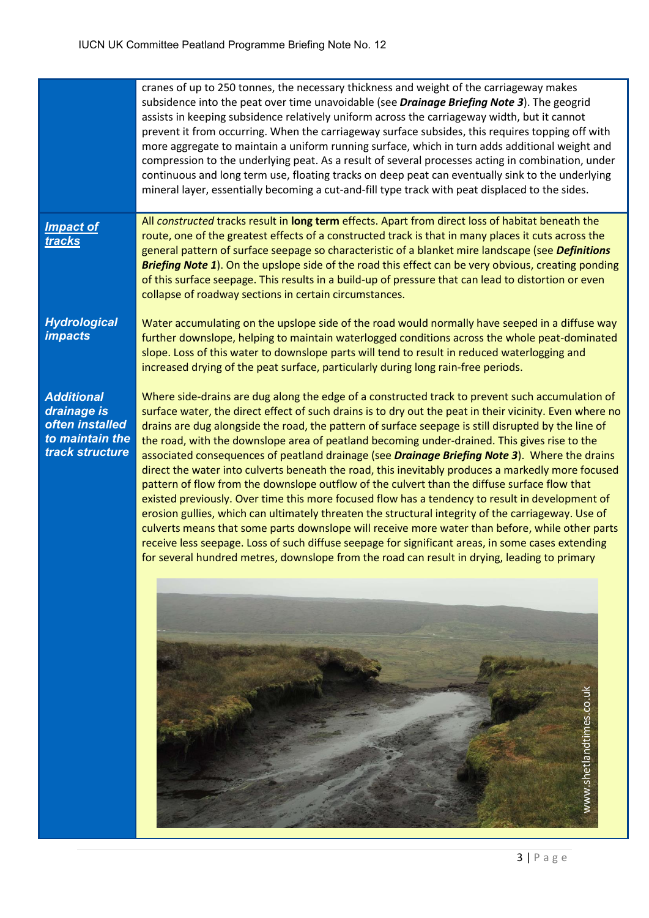|                                                                                           | cranes of up to 250 tonnes, the necessary thickness and weight of the carriageway makes<br>subsidence into the peat over time unavoidable (see Drainage Briefing Note 3). The geogrid<br>assists in keeping subsidence relatively uniform across the carriageway width, but it cannot<br>prevent it from occurring. When the carriageway surface subsides, this requires topping off with<br>more aggregate to maintain a uniform running surface, which in turn adds additional weight and<br>compression to the underlying peat. As a result of several processes acting in combination, under<br>continuous and long term use, floating tracks on deep peat can eventually sink to the underlying<br>mineral layer, essentially becoming a cut-and-fill type track with peat displaced to the sides.                                                                                                                                                                                                                                                                                                                                                                                                                                                             |
|-------------------------------------------------------------------------------------------|---------------------------------------------------------------------------------------------------------------------------------------------------------------------------------------------------------------------------------------------------------------------------------------------------------------------------------------------------------------------------------------------------------------------------------------------------------------------------------------------------------------------------------------------------------------------------------------------------------------------------------------------------------------------------------------------------------------------------------------------------------------------------------------------------------------------------------------------------------------------------------------------------------------------------------------------------------------------------------------------------------------------------------------------------------------------------------------------------------------------------------------------------------------------------------------------------------------------------------------------------------------------|
| <b>Impact of</b><br>tracks                                                                | All constructed tracks result in long term effects. Apart from direct loss of habitat beneath the<br>route, one of the greatest effects of a constructed track is that in many places it cuts across the<br>general pattern of surface seepage so characteristic of a blanket mire landscape (see Definitions<br><b>Briefing Note 1).</b> On the upslope side of the road this effect can be very obvious, creating ponding<br>of this surface seepage. This results in a build-up of pressure that can lead to distortion or even<br>collapse of roadway sections in certain circumstances.                                                                                                                                                                                                                                                                                                                                                                                                                                                                                                                                                                                                                                                                        |
| <b>Hydrological</b><br><i><b>impacts</b></i>                                              | Water accumulating on the upslope side of the road would normally have seeped in a diffuse way<br>further downslope, helping to maintain waterlogged conditions across the whole peat-dominated<br>slope. Loss of this water to downslope parts will tend to result in reduced waterlogging and<br>increased drying of the peat surface, particularly during long rain-free periods.                                                                                                                                                                                                                                                                                                                                                                                                                                                                                                                                                                                                                                                                                                                                                                                                                                                                                |
| <b>Additional</b><br>drainage is<br>often installed<br>to maintain the<br>track structure | Where side-drains are dug along the edge of a constructed track to prevent such accumulation of<br>surface water, the direct effect of such drains is to dry out the peat in their vicinity. Even where no<br>drains are dug alongside the road, the pattern of surface seepage is still disrupted by the line of<br>the road, with the downslope area of peatland becoming under-drained. This gives rise to the<br>associated consequences of peatland drainage (see Drainage Briefing Note 3). Where the drains<br>direct the water into culverts beneath the road, this inevitably produces a markedly more focused<br>pattern of flow from the downslope outflow of the culvert than the diffuse surface flow that<br>existed previously. Over time this more focused flow has a tendency to result in development of<br>erosion gullies, which can ultimately threaten the structural integrity of the carriageway. Use of<br>culverts means that some parts downslope will receive more water than before, while other parts<br>receive less seepage. Loss of such diffuse seepage for significant areas, in some cases extending<br>for several hundred metres, downslope from the road can result in drying, leading to primary<br>www.shetlandtimes.co.uk |
|                                                                                           |                                                                                                                                                                                                                                                                                                                                                                                                                                                                                                                                                                                                                                                                                                                                                                                                                                                                                                                                                                                                                                                                                                                                                                                                                                                                     |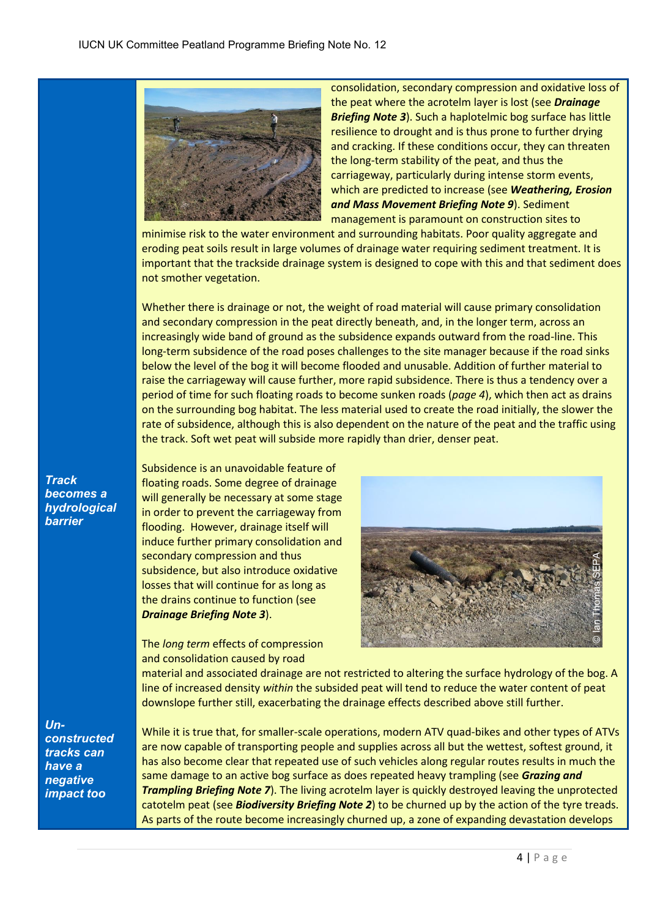

consolidation, secondary compression and oxidative loss of the peat where the acrotelm layer is lost (see *Drainage Briefing Note 3*). Such a haplotelmic bog surface has little resilience to drought and is thus prone to further drying and cracking. If these conditions occur, they can threaten the long-term stability of the peat, and thus the carriageway, particularly during intense storm events, which are predicted to increase (see *Weathering, Erosion and Mass Movement Briefing Note 9*). Sediment management is paramount on construction sites to

minimise risk to the water environment and surrounding habitats. Poor quality aggregate and eroding peat soils result in large volumes of drainage water requiring sediment treatment. It is important that the trackside drainage system is designed to cope with this and that sediment does not smother vegetation.

Whether there is drainage or not, the weight of road material will cause primary consolidation and secondary compression in the peat directly beneath, and, in the longer term, across an increasingly wide band of ground as the subsidence expands outward from the road-line. This long-term subsidence of the road poses challenges to the site manager because if the road sinks below the level of the bog it will become flooded and unusable. Addition of further material to raise the carriageway will cause further, more rapid subsidence. There is thus a tendency over a period of time for such floating roads to become sunken roads (*page 4*), which then act as drains on the surrounding bog habitat. The less material used to create the road initially, the slower the rate of subsidence, although this is also dependent on the nature of the peat and the traffic using the track. Soft wet peat will subside more rapidly than drier, denser peat.

Subsidence is an unavoidable feature of floating roads. Some degree of drainage will generally be necessary at some stage in order to prevent the carriageway from flooding. However, drainage itself will induce further primary consolidation and secondary compression and thus subsidence, but also introduce oxidative losses that will continue for as long as the drains continue to function (see *Drainage Briefing Note 3*).

The *long term* effects of compression and consolidation caused by road



material and associated drainage are not restricted to altering the surface hydrology of the bog. A line of increased density *within* the subsided peat will tend to reduce the water content of peat downslope further still, exacerbating the drainage effects described above still further.

*Unconstructed tracks can have a negative impact too*

*Track becomes a hydrological barrier* 

> While it is true that, for smaller-scale operations, modern ATV quad-bikes and other types of ATVs are now capable of transporting people and supplies across all but the wettest, softest ground, it has also become clear that repeated use of such vehicles along regular routes results in much the same damage to an active bog surface as does repeated heavy trampling (see *Grazing and Trampling Briefing Note 7*). The living acrotelm layer is quickly destroyed leaving the unprotected catotelm peat (see *Biodiversity Briefing Note 2*) to be churned up by the action of the tyre treads. Secondary compression and thus<br>
> subsidence, but also introduce oxidative<br>
> Dioses that will continue for as long as<br>
> the drains continue to function (see<br>
> Drainage Briefing Note 3).<br>
> The *long term* effects of compression<br>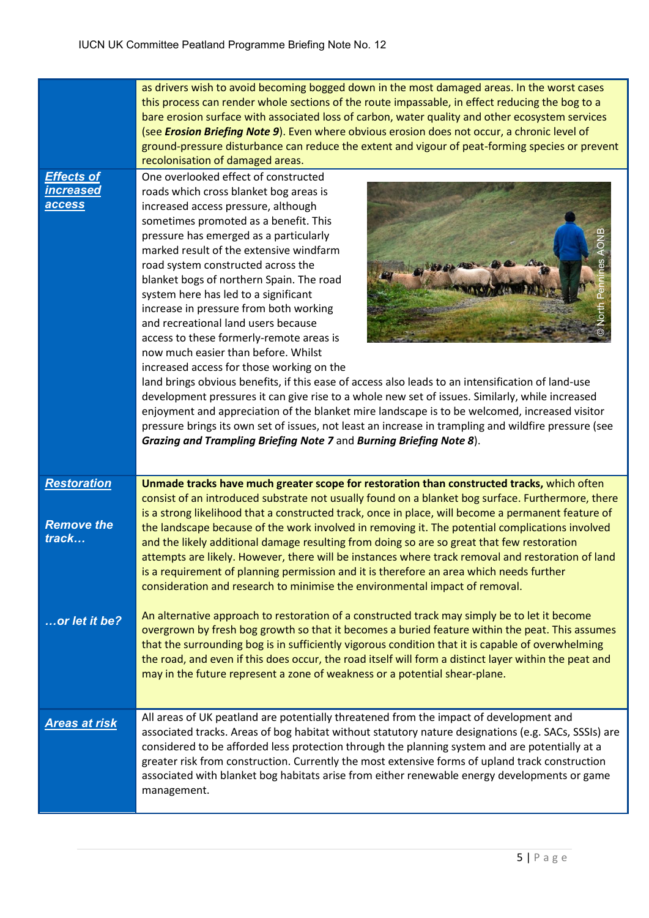|                                                        | as drivers wish to avoid becoming bogged down in the most damaged areas. In the worst cases<br>this process can render whole sections of the route impassable, in effect reducing the bog to a<br>bare erosion surface with associated loss of carbon, water quality and other ecosystem services<br>(see Erosion Briefing Note 9). Even where obvious erosion does not occur, a chronic level of<br>ground-pressure disturbance can reduce the extent and vigour of peat-forming species or prevent                                                                                                                                                                                                                                                                                                                                                                                                                                                                                                                                                                                   |
|--------------------------------------------------------|----------------------------------------------------------------------------------------------------------------------------------------------------------------------------------------------------------------------------------------------------------------------------------------------------------------------------------------------------------------------------------------------------------------------------------------------------------------------------------------------------------------------------------------------------------------------------------------------------------------------------------------------------------------------------------------------------------------------------------------------------------------------------------------------------------------------------------------------------------------------------------------------------------------------------------------------------------------------------------------------------------------------------------------------------------------------------------------|
|                                                        | recolonisation of damaged areas.                                                                                                                                                                                                                                                                                                                                                                                                                                                                                                                                                                                                                                                                                                                                                                                                                                                                                                                                                                                                                                                       |
| <b>Effects of</b><br><b>increased</b><br><b>access</b> | One overlooked effect of constructed<br>roads which cross blanket bog areas is<br>increased access pressure, although<br>sometimes promoted as a benefit. This<br>pressure has emerged as a particularly<br>marked result of the extensive windfarm<br>road system constructed across the<br>blanket bogs of northern Spain. The road<br>system here has led to a significant<br>increase in pressure from both working<br>and recreational land users because<br>access to these formerly-remote areas is<br>now much easier than before. Whilst<br>increased access for those working on the<br>land brings obvious benefits, if this ease of access also leads to an intensification of land-use<br>development pressures it can give rise to a whole new set of issues. Similarly, while increased<br>enjoyment and appreciation of the blanket mire landscape is to be welcomed, increased visitor<br>pressure brings its own set of issues, not least an increase in trampling and wildfire pressure (see<br>Grazing and Trampling Briefing Note 7 and Burning Briefing Note 8). |
| <b>Restoration</b><br><b>Remove the</b><br>track       | Unmade tracks have much greater scope for restoration than constructed tracks, which often<br>consist of an introduced substrate not usually found on a blanket bog surface. Furthermore, there<br>is a strong likelihood that a constructed track, once in place, will become a permanent feature of<br>the landscape because of the work involved in removing it. The potential complications involved<br>and the likely additional damage resulting from doing so are so great that few restoration<br>attempts are likely. However, there will be instances where track removal and restoration of land<br>is a requirement of planning permission and it is therefore an area which needs further<br>consideration and research to minimise the environmental impact of removal.                                                                                                                                                                                                                                                                                                  |
| or let it be?                                          | An alternative approach to restoration of a constructed track may simply be to let it become<br>overgrown by fresh bog growth so that it becomes a buried feature within the peat. This assumes<br>that the surrounding bog is in sufficiently vigorous condition that it is capable of overwhelming<br>the road, and even if this does occur, the road itself will form a distinct layer within the peat and<br>may in the future represent a zone of weakness or a potential shear-plane.                                                                                                                                                                                                                                                                                                                                                                                                                                                                                                                                                                                            |
| <b>Areas at risk</b>                                   | All areas of UK peatland are potentially threatened from the impact of development and<br>associated tracks. Areas of bog habitat without statutory nature designations (e.g. SACs, SSSIs) are<br>considered to be afforded less protection through the planning system and are potentially at a<br>greater risk from construction. Currently the most extensive forms of upland track construction<br>associated with blanket bog habitats arise from either renewable energy developments or game<br>management.                                                                                                                                                                                                                                                                                                                                                                                                                                                                                                                                                                     |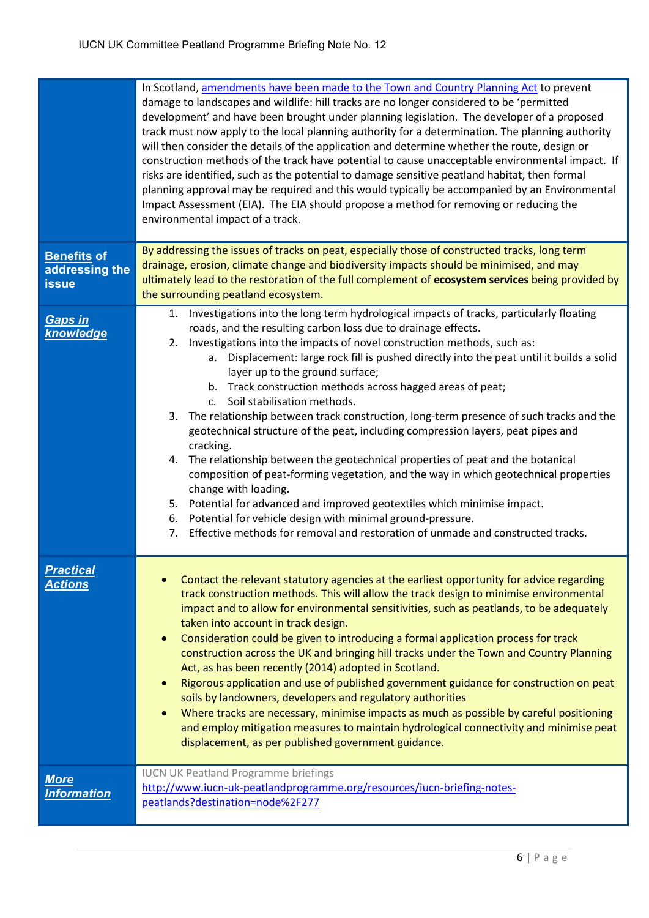|                                                      | In Scotland, amendments have been made to the Town and Country Planning Act to prevent<br>damage to landscapes and wildlife: hill tracks are no longer considered to be 'permitted<br>development' and have been brought under planning legislation. The developer of a proposed<br>track must now apply to the local planning authority for a determination. The planning authority<br>will then consider the details of the application and determine whether the route, design or<br>construction methods of the track have potential to cause unacceptable environmental impact. If<br>risks are identified, such as the potential to damage sensitive peatland habitat, then formal<br>planning approval may be required and this would typically be accompanied by an Environmental<br>Impact Assessment (EIA). The EIA should propose a method for removing or reducing the<br>environmental impact of a track.                                                                                                                                                                                                             |
|------------------------------------------------------|------------------------------------------------------------------------------------------------------------------------------------------------------------------------------------------------------------------------------------------------------------------------------------------------------------------------------------------------------------------------------------------------------------------------------------------------------------------------------------------------------------------------------------------------------------------------------------------------------------------------------------------------------------------------------------------------------------------------------------------------------------------------------------------------------------------------------------------------------------------------------------------------------------------------------------------------------------------------------------------------------------------------------------------------------------------------------------------------------------------------------------|
| <b>Benefits of</b><br>addressing the<br><b>issue</b> | By addressing the issues of tracks on peat, especially those of constructed tracks, long term<br>drainage, erosion, climate change and biodiversity impacts should be minimised, and may<br>ultimately lead to the restoration of the full complement of ecosystem services being provided by<br>the surrounding peatland ecosystem.                                                                                                                                                                                                                                                                                                                                                                                                                                                                                                                                                                                                                                                                                                                                                                                               |
| <b>Gaps in</b><br>knowledge                          | Investigations into the long term hydrological impacts of tracks, particularly floating<br>1.<br>roads, and the resulting carbon loss due to drainage effects.<br>2. Investigations into the impacts of novel construction methods, such as:<br>Displacement: large rock fill is pushed directly into the peat until it builds a solid<br>а.<br>layer up to the ground surface;<br>b. Track construction methods across hagged areas of peat;<br>c. Soil stabilisation methods.<br>The relationship between track construction, long-term presence of such tracks and the<br>3.<br>geotechnical structure of the peat, including compression layers, peat pipes and<br>cracking.<br>The relationship between the geotechnical properties of peat and the botanical<br>4.<br>composition of peat-forming vegetation, and the way in which geotechnical properties<br>change with loading.<br>5. Potential for advanced and improved geotextiles which minimise impact.<br>Potential for vehicle design with minimal ground-pressure.<br>6.<br>Effective methods for removal and restoration of unmade and constructed tracks.<br>7. |
| <b>Practical</b><br><b>Actions</b>                   | Contact the relevant statutory agencies at the earliest opportunity for advice regarding<br>track construction methods. This will allow the track design to minimise environmental<br>impact and to allow for environmental sensitivities, such as peatlands, to be adequately<br>taken into account in track design.<br>Consideration could be given to introducing a formal application process for track<br>construction across the UK and bringing hill tracks under the Town and Country Planning<br>Act, as has been recently (2014) adopted in Scotland.<br>Rigorous application and use of published government guidance for construction on peat<br>soils by landowners, developers and regulatory authorities<br>Where tracks are necessary, minimise impacts as much as possible by careful positioning<br>$\bullet$<br>and employ mitigation measures to maintain hydrological connectivity and minimise peat<br>displacement, as per published government guidance.                                                                                                                                                   |
| <b>More</b><br><b>Information</b>                    | <b>IUCN UK Peatland Programme briefings</b><br>http://www.iucn-uk-peatlandprogramme.org/resources/iucn-briefing-notes-<br>peatlands?destination=node%2F277                                                                                                                                                                                                                                                                                                                                                                                                                                                                                                                                                                                                                                                                                                                                                                                                                                                                                                                                                                         |